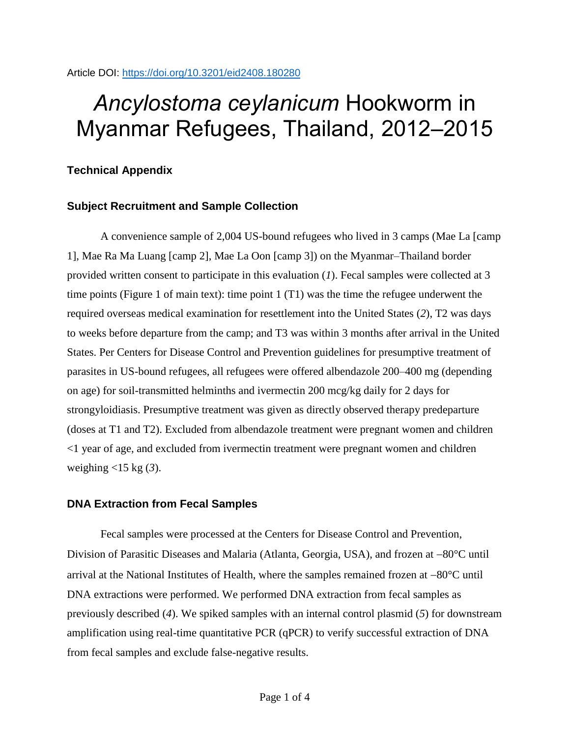# *Ancylostoma ceylanicum* Hookworm in Myanmar Refugees, Thailand, 2012–2015

## **Technical Appendix**

### **Subject Recruitment and Sample Collection**

A convenience sample of 2,004 US-bound refugees who lived in 3 camps (Mae La [camp 1], Mae Ra Ma Luang [camp 2], Mae La Oon [camp 3]) on the Myanmar–Thailand border provided written consent to participate in this evaluation (*1*). Fecal samples were collected at 3 time points (Figure 1 of main text): time point 1 (T1) was the time the refugee underwent the required overseas medical examination for resettlement into the United States (*2*), T2 was days to weeks before departure from the camp; and T3 was within 3 months after arrival in the United States. Per Centers for Disease Control and Prevention guidelines for presumptive treatment of parasites in US-bound refugees, all refugees were offered albendazole 200–400 mg (depending on age) for soil-transmitted helminths and ivermectin 200 mcg/kg daily for 2 days for strongyloidiasis. Presumptive treatment was given as directly observed therapy predeparture (doses at T1 and T2). Excluded from albendazole treatment were pregnant women and children <1 year of age, and excluded from ivermectin treatment were pregnant women and children weighing <15 kg (*3*).

#### **DNA Extraction from Fecal Samples**

Fecal samples were processed at the Centers for Disease Control and Prevention, Division of Parasitic Diseases and Malaria (Atlanta, Georgia, USA), and frozen at  $-80^{\circ}$ C until arrival at the National Institutes of Health, where the samples remained frozen at  $-80^{\circ}$ C until DNA extractions were performed. We performed DNA extraction from fecal samples as previously described (*4*). We spiked samples with an internal control plasmid (*5*) for downstream amplification using real-time quantitative PCR (qPCR) to verify successful extraction of DNA from fecal samples and exclude false-negative results.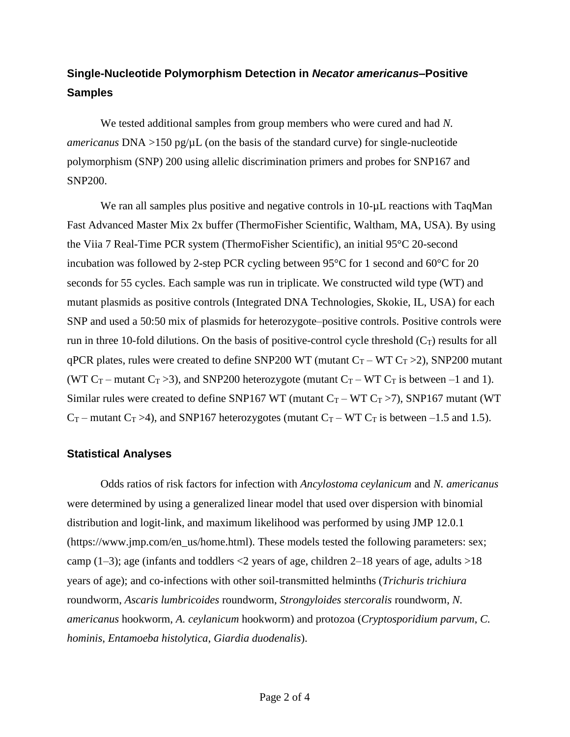# **Single-Nucleotide Polymorphism Detection in** *Necator americanus***–Positive Samples**

We tested additional samples from group members who were cured and had *N. americanus*  $DNA >150$  pg/ $\mu$ L (on the basis of the standard curve) for single-nucleotide polymorphism (SNP) 200 using allelic discrimination primers and probes for SNP167 and SNP200.

We ran all samples plus positive and negative controls in 10- $\mu$ L reactions with TaqMan Fast Advanced Master Mix 2x buffer (ThermoFisher Scientific, Waltham, MA, USA). By using the Viia 7 Real-Time PCR system (ThermoFisher Scientific), an initial 95°C 20-second incubation was followed by 2-step PCR cycling between 95°C for 1 second and 60°C for 20 seconds for 55 cycles. Each sample was run in triplicate. We constructed wild type (WT) and mutant plasmids as positive controls (Integrated DNA Technologies, Skokie, IL, USA) for each SNP and used a 50:50 mix of plasmids for heterozygote–positive controls. Positive controls were run in three 10-fold dilutions. On the basis of positive-control cycle threshold  $(C_T)$  results for all qPCR plates, rules were created to define SNP200 WT (mutant  $C_T - WT C_T > 2$ ), SNP200 mutant (WT  $C_T$  – mutant  $C_T > 3$ ), and SNP200 heterozygote (mutant  $C_T$  – WT  $C_T$  is between –1 and 1). Similar rules were created to define SNP167 WT (mutant  $C_T$  – WT  $C_T$  >7), SNP167 mutant (WT  $C_T$  – mutant  $C_T > 4$ ), and SNP167 heterozygotes (mutant  $C_T$  – WT  $C_T$  is between –1.5 and 1.5).

#### **Statistical Analyses**

Odds ratios of risk factors for infection with *Ancylostoma ceylanicum* and *N. americanus* were determined by using a generalized linear model that used over dispersion with binomial distribution and logit-link, and maximum likelihood was performed by using JMP 12.0.1 (https://www.jmp.com/en\_us/home.html). These models tested the following parameters: sex; camp (1–3); age (infants and toddlers  $\langle 2 \rangle$  years of age, children 2–18 years of age, adults  $>18$ years of age); and co-infections with other soil-transmitted helminths (*Trichuris trichiura* roundworm, *Ascaris lumbricoides* roundworm, *Strongyloides stercoralis* roundworm, *N. americanus* hookworm, *A. ceylanicum* hookworm) and protozoa (*Cryptosporidium parvum*, *C. hominis*, *Entamoeba histolytica*, *Giardia duodenalis*).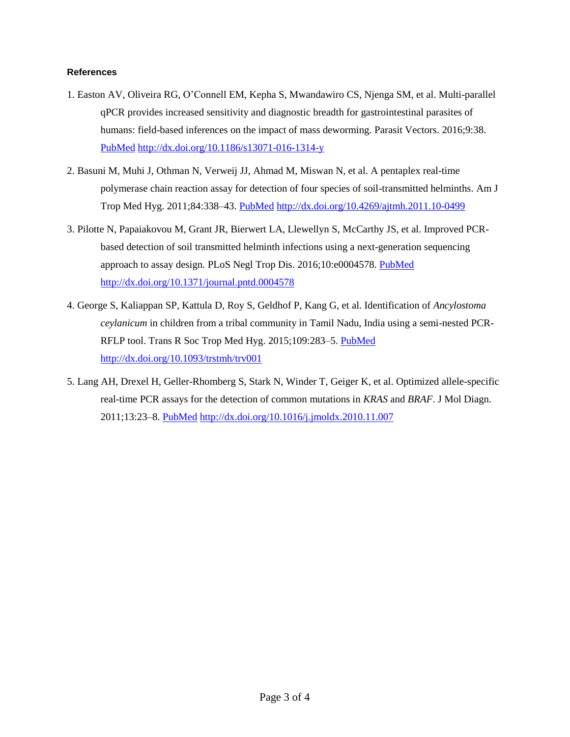#### **References**

- 1. Easton AV, Oliveira RG, O'Connell EM, Kepha S, Mwandawiro CS, Njenga SM, et al. Multi-parallel qPCR provides increased sensitivity and diagnostic breadth for gastrointestinal parasites of humans: field-based inferences on the impact of mass deworming. Parasit Vectors. 2016;9:38[.](https://www.ncbi.nlm.nih.gov/entrez/query.fcgi?cmd=Retrieve&db=PubMed&list_uids=26813411&dopt=Abstract) [PubMed](https://www.ncbi.nlm.nih.gov/entrez/query.fcgi?cmd=Retrieve&db=PubMed&list_uids=26813411&dopt=Abstract) <http://dx.doi.org/10.1186/s13071-016-1314-y>
- 2. Basuni M, Muhi J, Othman N, Verweij JJ, Ahmad M, Miswan N, et al. A pentaplex real-time polymerase chain reaction assay for detection of four species of soil-transmitted helminths. Am J Trop Med Hyg. 2011;84:338–43. [PubMed](https://www.ncbi.nlm.nih.gov/entrez/query.fcgi?cmd=Retrieve&db=PubMed&list_uids=21292911&dopt=Abstract) <http://dx.doi.org/10.4269/ajtmh.2011.10-0499>
- 3. Pilotte N, Papaiakovou M, Grant JR, Bierwert LA, Llewellyn S, McCarthy JS, et al. Improved PCRbased detection of soil transmitted helminth infections using a next-generation sequencing approach to assay design. PLoS Negl Trop Dis. 2016;10:e0004578. [PubMed](https://www.ncbi.nlm.nih.gov/entrez/query.fcgi?cmd=Retrieve&db=PubMed&list_uids=27027771&dopt=Abstract) <http://dx.doi.org/10.1371/journal.pntd.0004578>
- 4. George S, Kaliappan SP, Kattula D, Roy S, Geldhof P, Kang G, et al. Identification of *Ancylostoma ceylanicum* in children from a tribal community in Tamil Nadu, India using a semi-nested PCR-RFLP tool. Trans R Soc Trop Med Hyg. 2015;109:283-5. [PubMed](https://www.ncbi.nlm.nih.gov/entrez/query.fcgi?cmd=Retrieve&db=PubMed&list_uids=25618132&dopt=Abstract) <http://dx.doi.org/10.1093/trstmh/trv001>
- 5. Lang AH, Drexel H, Geller-Rhomberg S, Stark N, Winder T, Geiger K, et al. Optimized allele-specific real-time PCR assays for the detection of common mutations in *KRAS* and *BRAF*. J Mol Diagn. 2011;13:23–8. [PubMed](https://www.ncbi.nlm.nih.gov/entrez/query.fcgi?cmd=Retrieve&db=PubMed&list_uids=21227391&dopt=Abstract) <http://dx.doi.org/10.1016/j.jmoldx.2010.11.007>